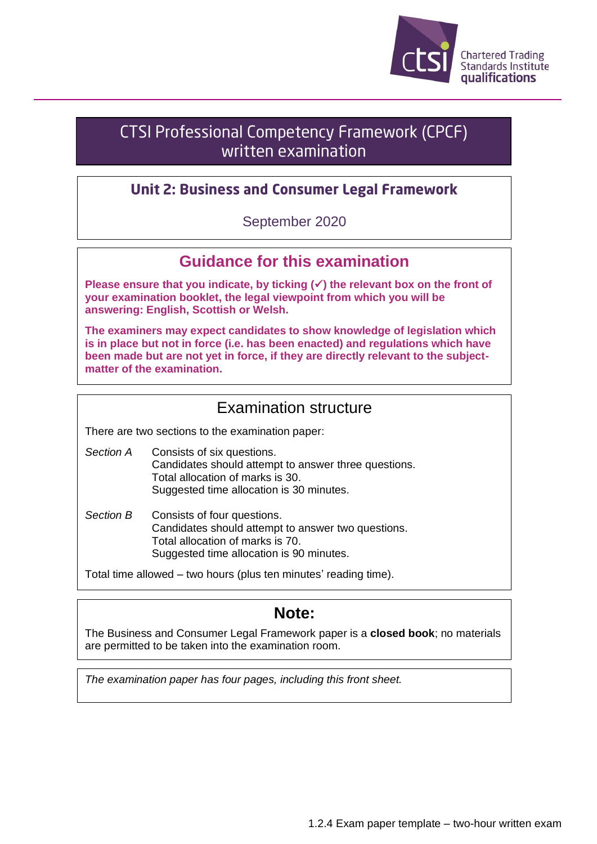

# CTSI Professional Competency Framework (CPCF) written examination

#### **Unit 2: Business and Consumer Legal Framework**

September 2020

#### **Guidance for this examination**

**Please ensure that you indicate, by ticking (**✓**) the relevant box on the front of your examination booklet, the legal viewpoint from which you will be answering: English, Scottish or Welsh.**

**The examiners may expect candidates to show knowledge of legislation which is in place but not in force (i.e. has been enacted) and regulations which have been made but are not yet in force, if they are directly relevant to the subjectmatter of the examination.**

### Examination structure

There are two sections to the examination paper:

- *Section A* Consists of six questions. Candidates should attempt to answer three questions. Total allocation of marks is 30. Suggested time allocation is 30 minutes.
- *Section B* Consists of four questions. Candidates should attempt to answer two questions. Total allocation of marks is 70. Suggested time allocation is 90 minutes.

Total time allowed – two hours (plus ten minutes' reading time).

## **Note:**

The Business and Consumer Legal Framework paper is a **closed book**; no materials are permitted to be taken into the examination room.

*The examination paper has four pages, including this front sheet.*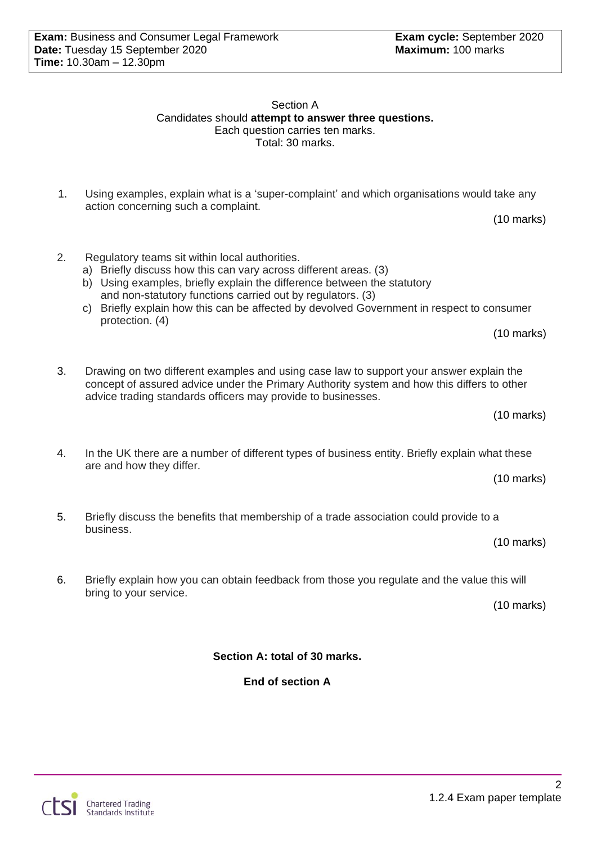Section A Candidates should **attempt to answer three questions.** Each question carries ten marks. Total: 30 marks.

- 1. Using examples, explain what is a 'super-complaint' and which organisations would take any action concerning such a complaint.
- 2. Regulatory teams sit within local authorities.
	- a) Briefly discuss how this can vary across different areas. (3)
	- b) Using examples, briefly explain the difference between the statutory and non-statutory functions carried out by regulators. (3)
	- c) Briefly explain how this can be affected by devolved Government in respect to consumer protection. (4)
- 3. Drawing on two different examples and using case law to support your answer explain the concept of assured advice under the Primary Authority system and how this differs to other advice trading standards officers may provide to businesses.
	-
- 4. In the UK there are a number of different types of business entity. Briefly explain what these are and how they differ.
	- (10 marks)

(10 marks)

- 5. Briefly discuss the benefits that membership of a trade association could provide to a business.
	- (10 marks)
- 6. Briefly explain how you can obtain feedback from those you regulate and the value this will bring to your service.

(10 marks)

**Section A: total of 30 marks.**

**End of section A**

1.2.4 Exam paper template

2

(10 marks)

(10 marks)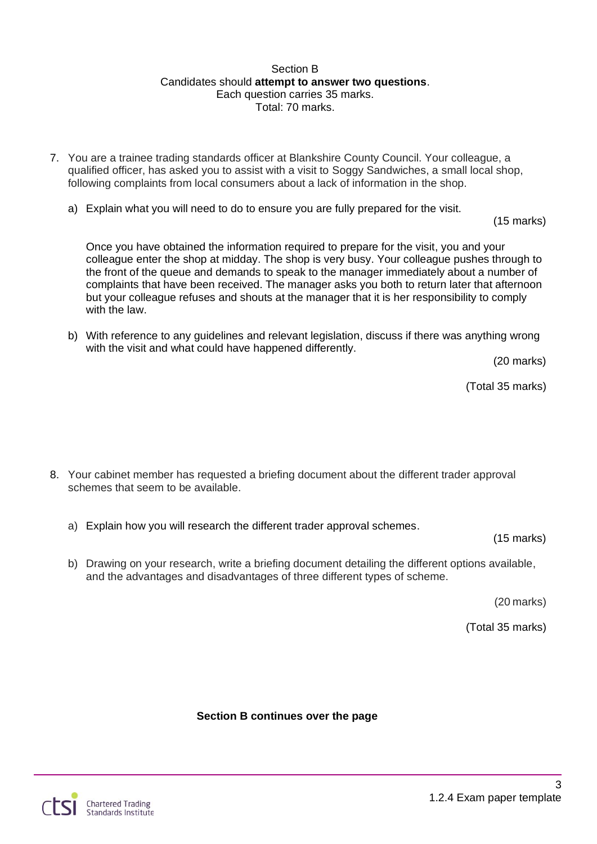#### Section B Candidates should **attempt to answer two questions**. Each question carries 35 marks. Total: 70 marks.

- 7. You are a trainee trading standards officer at Blankshire County Council. Your colleague, a qualified officer, has asked you to assist with a visit to Soggy Sandwiches, a small local shop, following complaints from local consumers about a lack of information in the shop.
	- a) Explain what you will need to do to ensure you are fully prepared for the visit.

(15 marks)

Once you have obtained the information required to prepare for the visit, you and your colleague enter the shop at midday. The shop is very busy. Your colleague pushes through to the front of the queue and demands to speak to the manager immediately about a number of complaints that have been received. The manager asks you both to return later that afternoon but your colleague refuses and shouts at the manager that it is her responsibility to comply with the law.

b) With reference to any guidelines and relevant legislation, discuss if there was anything wrong with the visit and what could have happened differently.

(20 marks)

(Total 35 marks)

- 8. Your cabinet member has requested a briefing document about the different trader approval schemes that seem to be available.
	- a) Explain how you will research the different trader approval schemes.

(15 marks)

b) Drawing on your research, write a briefing document detailing the different options available, and the advantages and disadvantages of three different types of scheme.

(20 marks)

(Total 35 marks)

**Section B continues over the page**